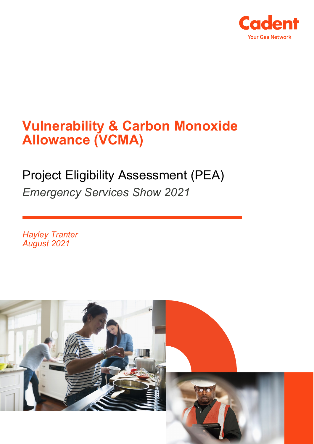

# **Vulnerability & Carbon Monoxide Allowance (VCMA)**

# Project Eligibility Assessment (PEA) *Emergency Services Show 2021*

*Hayley Tranter August 2021*

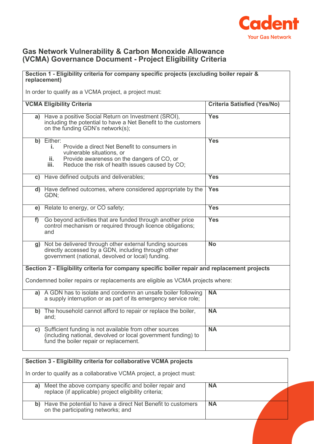

#### **Gas Network Vulnerability & Carbon Monoxide Allowance (VCMA) Governance Document - Project Eligibility Criteria**

### **Section 1 - Eligibility criteria for company specific projects (excluding boiler repair & replacement)**

In order to qualify as a VCMA project, a project must:

|                                                                                              | <b>VCMA Eligibility Criteria</b>                                                                                                                                                                             | <b>Criteria Satisfied (Yes/No)</b> |  |  |
|----------------------------------------------------------------------------------------------|--------------------------------------------------------------------------------------------------------------------------------------------------------------------------------------------------------------|------------------------------------|--|--|
|                                                                                              | a) Have a positive Social Return on Investment (SROI),<br>including the potential to have a Net Benefit to the customers<br>on the funding GDN's network(s);                                                 | <b>Yes</b>                         |  |  |
|                                                                                              | b) Either:<br>Provide a direct Net Benefit to consumers in<br>i.<br>vulnerable situations, or<br>Provide awareness on the dangers of CO, or<br>ii.<br>Reduce the risk of health issues caused by CO;<br>iii. | <b>Yes</b>                         |  |  |
|                                                                                              | c) Have defined outputs and deliverables;                                                                                                                                                                    | <b>Yes</b>                         |  |  |
|                                                                                              | d) Have defined outcomes, where considered appropriate by the<br>GDN;                                                                                                                                        | <b>Yes</b>                         |  |  |
|                                                                                              | e) Relate to energy, or CO safety;                                                                                                                                                                           | <b>Yes</b>                         |  |  |
| f                                                                                            | Go beyond activities that are funded through another price<br>control mechanism or required through licence obligations;<br>and                                                                              | <b>Yes</b>                         |  |  |
|                                                                                              | g) Not be delivered through other external funding sources<br>directly accessed by a GDN, including through other<br>government (national, devolved or local) funding.                                       | $\overline{No}$                    |  |  |
| Section 2 - Eligibility criteria for company specific boiler repair and replacement projects |                                                                                                                                                                                                              |                                    |  |  |
| Condemned boiler repairs or replacements are eligible as VCMA projects where:                |                                                                                                                                                                                                              |                                    |  |  |
|                                                                                              | a) A GDN has to isolate and condemn an unsafe boiler following<br>a supply interruption or as part of its emergency service role;                                                                            | <b>NA</b>                          |  |  |
|                                                                                              | b) The household cannot afford to repair or replace the boiler,<br>and:                                                                                                                                      | <b>NA</b>                          |  |  |
| C)                                                                                           | Sufficient funding is not available from other sources<br>(including national, devolved or local government funding) to<br>fund the boiler repair or replacement.                                            | <b>NA</b>                          |  |  |

| Section 3 - Eligibility criteria for collaborative VCMA projects                                                     |           |  |  |
|----------------------------------------------------------------------------------------------------------------------|-----------|--|--|
| In order to qualify as a collaborative VCMA project, a project must:                                                 |           |  |  |
| Meet the above company specific and boiler repair and<br>replace (if applicable) project eligibility criteria;<br>a) | <b>NA</b> |  |  |
| Have the potential to have a direct Net Benefit to customers<br>b)<br>on the participating networks; and             | <b>NA</b> |  |  |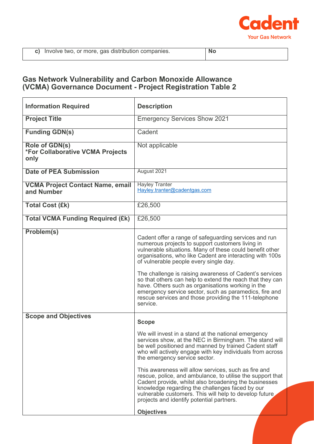

 $\mathbf{r}$ 

### **Gas Network Vulnerability and Carbon Monoxide Allowance (VCMA) Governance Document - Project Registration Table 2**

| <b>Information Required</b>                                              | <b>Description</b>                                                                                                                                                                                                                                                                                                                                                                                                                                                                                                                                                                                                                                  |  |
|--------------------------------------------------------------------------|-----------------------------------------------------------------------------------------------------------------------------------------------------------------------------------------------------------------------------------------------------------------------------------------------------------------------------------------------------------------------------------------------------------------------------------------------------------------------------------------------------------------------------------------------------------------------------------------------------------------------------------------------------|--|
| <b>Project Title</b>                                                     | <b>Emergency Services Show 2021</b>                                                                                                                                                                                                                                                                                                                                                                                                                                                                                                                                                                                                                 |  |
| <b>Funding GDN(s)</b>                                                    | Cadent                                                                                                                                                                                                                                                                                                                                                                                                                                                                                                                                                                                                                                              |  |
| <b>Role of GDN(s)</b><br><b>*For Collaborative VCMA Projects</b><br>only | Not applicable                                                                                                                                                                                                                                                                                                                                                                                                                                                                                                                                                                                                                                      |  |
| <b>Date of PEA Submission</b>                                            | August 2021                                                                                                                                                                                                                                                                                                                                                                                                                                                                                                                                                                                                                                         |  |
| <b>VCMA Project Contact Name, email</b><br>and Number                    | <b>Hayley Tranter</b><br>Hayley.tranter@cadentgas.com                                                                                                                                                                                                                                                                                                                                                                                                                                                                                                                                                                                               |  |
| <b>Total Cost (£k)</b>                                                   | £26,500                                                                                                                                                                                                                                                                                                                                                                                                                                                                                                                                                                                                                                             |  |
| <b>Total VCMA Funding Required (£k)</b>                                  | £26,500                                                                                                                                                                                                                                                                                                                                                                                                                                                                                                                                                                                                                                             |  |
| Problem(s)                                                               | Cadent offer a range of safeguarding services and run<br>numerous projects to support customers living in<br>vulnerable situations. Many of these could benefit other<br>organisations, who like Cadent are interacting with 100s<br>of vulnerable people every single day.<br>The challenge is raising awareness of Cadent's services<br>so that others can help to extend the reach that they can<br>have. Others such as organisations working in the<br>emergency service sector, such as paramedics, fire and<br>rescue services and those providing the 111-telephone<br>service.                                                             |  |
| <b>Scope and Objectives</b>                                              | <b>Scope</b><br>We will invest in a stand at the national emergency<br>services show, at the NEC in Birmingham. The stand will<br>be well positioned and manned by trained Cadent staff<br>who will actively engage with key individuals from across<br>the emergency service sector.<br>This awareness will allow services, such as fire and<br>rescue, police, and ambulance, to utilise the support that<br>Cadent provide, whilst also broadening the businesses<br>knowledge regarding the challenges faced by our<br>vulnerable customers. This will help to develop future<br>projects and identify potential partners.<br><b>Objectives</b> |  |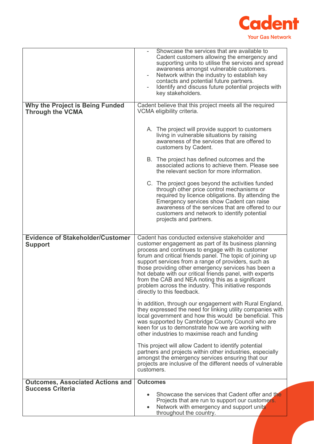

|                                                                    | Showcase the services that are available to<br>Cadent customers allowing the emergency and<br>supporting units to utilise the services and spread<br>awareness amongst vulnerable customers.<br>Network within the industry to establish key<br>contacts and potential future partners.<br>Identify and discuss future potential projects with                                                                                                                                                                                                                                                                                                                                                                                                                                                                                                                                                                                                                                                                                                                                                                                                        |  |
|--------------------------------------------------------------------|-------------------------------------------------------------------------------------------------------------------------------------------------------------------------------------------------------------------------------------------------------------------------------------------------------------------------------------------------------------------------------------------------------------------------------------------------------------------------------------------------------------------------------------------------------------------------------------------------------------------------------------------------------------------------------------------------------------------------------------------------------------------------------------------------------------------------------------------------------------------------------------------------------------------------------------------------------------------------------------------------------------------------------------------------------------------------------------------------------------------------------------------------------|--|
| <b>Why the Project is Being Funded</b>                             | key stakeholders.<br>Cadent believe that this project meets all the required                                                                                                                                                                                                                                                                                                                                                                                                                                                                                                                                                                                                                                                                                                                                                                                                                                                                                                                                                                                                                                                                          |  |
| <b>Through the VCMA</b>                                            | VCMA eligibility criteria.                                                                                                                                                                                                                                                                                                                                                                                                                                                                                                                                                                                                                                                                                                                                                                                                                                                                                                                                                                                                                                                                                                                            |  |
|                                                                    | A. The project will provide support to customers<br>living in vulnerable situations by raising<br>awareness of the services that are offered to<br>customers by Cadent.                                                                                                                                                                                                                                                                                                                                                                                                                                                                                                                                                                                                                                                                                                                                                                                                                                                                                                                                                                               |  |
|                                                                    | B. The project has defined outcomes and the<br>associated actions to achieve them. Please see<br>the relevant section for more information.                                                                                                                                                                                                                                                                                                                                                                                                                                                                                                                                                                                                                                                                                                                                                                                                                                                                                                                                                                                                           |  |
|                                                                    | C. The project goes beyond the activities funded<br>through other price control mechanisms or<br>required by licence obligations. By attending the<br>Emergency services show Cadent can raise<br>awareness of the services that are offered to our<br>customers and network to identify potential<br>projects and partners.                                                                                                                                                                                                                                                                                                                                                                                                                                                                                                                                                                                                                                                                                                                                                                                                                          |  |
| <b>Evidence of Stakeholder/Customer</b><br><b>Support</b>          | Cadent has conducted extensive stakeholder and<br>customer engagement as part of its business planning<br>process and continues to engage with its customer<br>forum and critical friends panel. The topic of joining up<br>support services from a range of providers, such as<br>those providing other emergency services has been a<br>hot debate with our critical friends panel, with experts<br>from the CAB and NEA noting this as a significant<br>problem across the industry. This initiative responds<br>directly to this feedback.<br>In addition, through our engagement with Rural England,<br>they expressed the need for linking utility companies with<br>local government and how this would be beneficial. This<br>was supported by Cambridge County Council who are<br>keen for us to demonstrate how we are working with<br>other industries to maximise reach and funding<br>This project will allow Cadent to identify potential<br>partners and projects within other industries, especially<br>amongst the emergency services ensuring that our<br>projects are inclusive of the different needs of vulnerable<br>customers. |  |
| <b>Outcomes, Associated Actions and</b><br><b>Success Criteria</b> | <b>Outcomes</b>                                                                                                                                                                                                                                                                                                                                                                                                                                                                                                                                                                                                                                                                                                                                                                                                                                                                                                                                                                                                                                                                                                                                       |  |
|                                                                    | Showcase the services that Cadent offer and the<br>Projects that are run to support our customers.<br>Network with emergency and support units<br>throughout the country.                                                                                                                                                                                                                                                                                                                                                                                                                                                                                                                                                                                                                                                                                                                                                                                                                                                                                                                                                                             |  |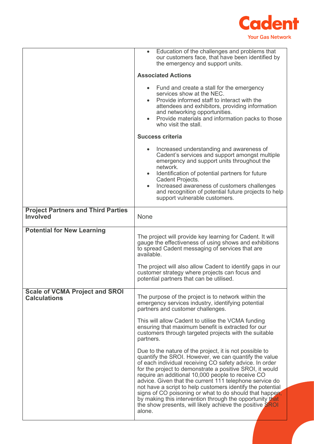

|                                                              | Education of the challenges and problems that<br>$\bullet$<br>our customers face, that have been identified by<br>the emergency and support units.                                                                                                                                                                                                                                                                                                                                                                                                                                                                 |  |
|--------------------------------------------------------------|--------------------------------------------------------------------------------------------------------------------------------------------------------------------------------------------------------------------------------------------------------------------------------------------------------------------------------------------------------------------------------------------------------------------------------------------------------------------------------------------------------------------------------------------------------------------------------------------------------------------|--|
|                                                              | <b>Associated Actions</b>                                                                                                                                                                                                                                                                                                                                                                                                                                                                                                                                                                                          |  |
|                                                              | • Fund and create a stall for the emergency<br>services show at the NEC.<br>Provide informed staff to interact with the<br>attendees and exhibitors, providing information<br>and networking opportunities.<br>Provide materials and information packs to those<br>who visit the stall.                                                                                                                                                                                                                                                                                                                            |  |
|                                                              | <b>Success criteria</b>                                                                                                                                                                                                                                                                                                                                                                                                                                                                                                                                                                                            |  |
|                                                              | Increased understanding and awareness of<br>$\bullet$<br>Cadent's services and support amongst multiple<br>emergency and support units throughout the<br>network.<br>Identification of potential partners for future<br>$\bullet$<br>Cadent Projects.<br>Increased awareness of customers challenges<br>$\bullet$<br>and recognition of potential future projects to help<br>support vulnerable customers.                                                                                                                                                                                                         |  |
| <b>Project Partners and Third Parties</b><br><b>Involved</b> | None                                                                                                                                                                                                                                                                                                                                                                                                                                                                                                                                                                                                               |  |
| <b>Potential for New Learning</b>                            | The project will provide key learning for Cadent. It will<br>gauge the effectiveness of using shows and exhibitions<br>to spread Cadent messaging of services that are<br>available.<br>The project will also allow Cadent to identify gaps in our<br>customer strategy where projects can focus and                                                                                                                                                                                                                                                                                                               |  |
|                                                              | potential partners that can be utilised.                                                                                                                                                                                                                                                                                                                                                                                                                                                                                                                                                                           |  |
| <b>Scale of VCMA Project and SROI</b><br><b>Calculations</b> | The purpose of the project is to network within the<br>emergency services industry, identifying potential<br>partners and customer challenges.                                                                                                                                                                                                                                                                                                                                                                                                                                                                     |  |
|                                                              | This will allow Cadent to utilise the VCMA funding<br>ensuring that maximum benefit is extracted for our<br>customers through targeted projects with the suitable<br>partners.                                                                                                                                                                                                                                                                                                                                                                                                                                     |  |
|                                                              | Due to the nature of the project, it is not possible to<br>quantify the SROI. However, we can quantify the value<br>of each individual receiving CO safety advice. In order<br>for the project to demonstrate a positive SROI, it would<br>require an additional 10,000 people to receive CO<br>advice. Given that the current 111 telephone service do<br>not have a script to help customers identify the potential<br>signs of CO poisoning or what to do should that happen,<br>by making this intervention through the opportunity that<br>the show presents, will likely achieve the positive SROI<br>alone. |  |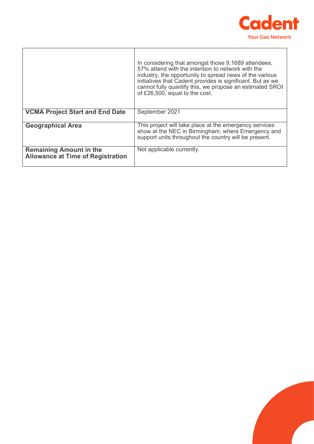

L,

|                                                                            | In considering that amongst those 9,1689 attendees,<br>57% attend with the intention to network with the<br>industry, the opportunity to spread news of the various<br>initiatives that Cadent provides is significant. But as we<br>cannot fully quantify this, we propose an estimated SROI<br>of £26,500, equal to the cost. |
|----------------------------------------------------------------------------|---------------------------------------------------------------------------------------------------------------------------------------------------------------------------------------------------------------------------------------------------------------------------------------------------------------------------------|
| <b>VCMA Project Start and End Date</b>                                     | September 2021                                                                                                                                                                                                                                                                                                                  |
| <b>Geographical Area</b>                                                   | This project will take place at the emergency services<br>show at the NEC in Birmingham, where Emergency and<br>support units throughout the country will be present.                                                                                                                                                           |
| <b>Remaining Amount in the</b><br><b>Allowance at Time of Registration</b> | Not applicable currently.                                                                                                                                                                                                                                                                                                       |